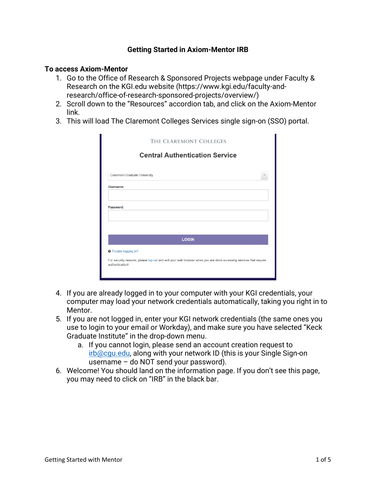### **Getting Started in Axiom-Mentor IRB**

#### **To access Axiom-Mentor**

- 1. Go to the Office of Research & Sponsored Projects webpage under Faculty & Research on the KGI.edu website (https://www.kgi.edu/faculty-andresearch/office-of-research-sponsored-projects/overview/)
- 2. Scroll down to the "Resources" accordion tab, and click on the Axiom-Mentor link.
- 3. This will load The Claremont Colleges Services single sign-on (SSO) portal.

|                                      | <b>Central Authentication Service</b> |  |
|--------------------------------------|---------------------------------------|--|
|                                      |                                       |  |
| <b>Claremont Graduate University</b> |                                       |  |
| Username:                            |                                       |  |
|                                      |                                       |  |
| Password:                            |                                       |  |
|                                      |                                       |  |
|                                      |                                       |  |
|                                      |                                       |  |
|                                      | <b>LOGIN</b>                          |  |
|                                      |                                       |  |
| <b>O</b> Trouble logging in?         |                                       |  |

- 4. If you are already logged in to your computer with your KGI credentials, your computer may load your network credentials automatically, taking you right in to Mentor.
- 5. If you are not logged in, enter your KGI network credentials (the same ones you use to login to your email or Workday), and make sure you have selected "Keck Graduate Institute" in the drop-down menu.
	- a. If you cannot login, please send an account creation request to irb@cgu.edu, along with your network ID (this is your Single Sign-on username – do NOT send your password).
- 6. Welcome! You should land on the information page. If you don't see this page, you may need to click on "IRB" in the black bar.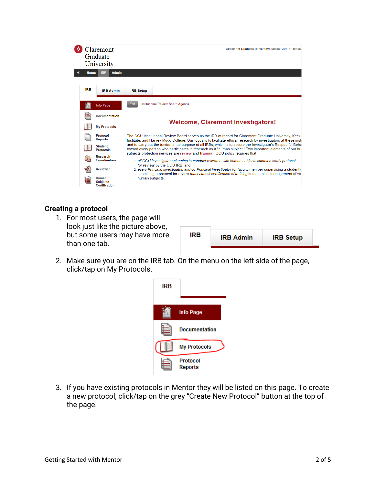

#### **Creating a protocol**

1. For most users, the page will look just like the picture above, but some users may have more than one tab.

| IRB | <b>IRB Admin</b> | <b>IRB Setup</b> |
|-----|------------------|------------------|
|     |                  |                  |

2. Make sure you are on the IRB tab. On the menu on the left side of the page, click/tap on My Protocols.



3. If you have existing protocols in Mentor they will be listed on this page. To create a new protocol, click/tap on the grey "Create New Protocol" button at the top of the page.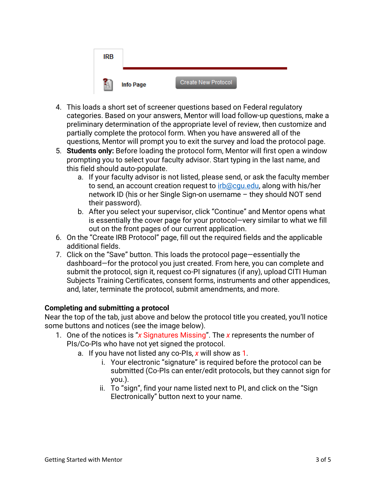| <b>IRB</b> |                  |                     |
|------------|------------------|---------------------|
| H          | <b>Info Page</b> | Create New Protocol |

- 4. This loads a short set of screener questions based on Federal regulatory categories. Based on your answers, Mentor will load follow-up questions, make a preliminary determination of the appropriate level of review, then customize and partially complete the protocol form. When you have answered all of the questions, Mentor will prompt you to exit the survey and load the protocol page.
- 5. **Students only:** Before loading the protocol form, Mentor will first open a window prompting you to select your faculty advisor. Start typing in the last name, and this field should auto-populate.
	- a. If your faculty advisor is not listed, please send, or ask the faculty member to send, an account creation request to irb@cqu.edu, along with his/her network ID (his or her Single Sign-on username – they should NOT send their password).
	- b. After you select your supervisor, click "Continue" and Mentor opens what is essentially the cover page for your protocol—very similar to what we fill out on the front pages of our current application.
- 6. On the "Create IRB Protocol" page, fill out the required fields and the applicable additional fields.
- 7. Click on the "Save" button. This loads the protocol page—essentially the dashboard—for the protocol you just created. From here, you can complete and submit the protocol, sign it, request co-PI signatures (if any), upload CITI Human Subjects Training Certificates, consent forms, instruments and other appendices, and, later, terminate the protocol, submit amendments, and more.

# **Completing and submitting a protocol**

Near the top of the tab, just above and below the protocol title you created, you'll notice some buttons and notices (see the image below).

- 1. One of the notices is "*x* Signatures Missing". The *x* represents the number of PIs/Co-PIs who have not yet signed the protocol.
	- a. If you have not listed any co-PIs, *x* will show as 1.
		- i. Your electronic "signature" is required before the protocol can be submitted (Co-PIs can enter/edit protocols, but they cannot sign for you.).
		- ii. To "sign", find your name listed next to PI, and click on the "Sign Electronically" button next to your name.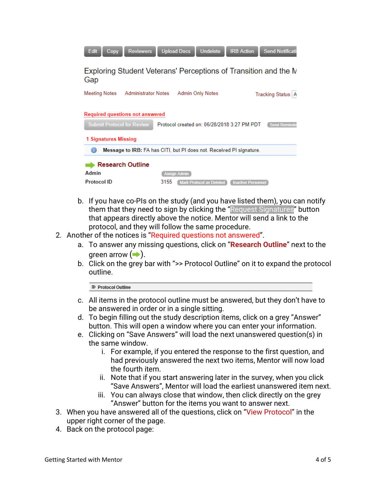| Edit<br><b>Upload Docs</b><br><b>Send Notificati</b><br><b>Undelete</b><br><b>IRB Action</b><br><b>Reviewers</b><br>Copy                                                   |  |  |  |  |  |  |
|----------------------------------------------------------------------------------------------------------------------------------------------------------------------------|--|--|--|--|--|--|
| Exploring Student Veterans' Perceptions of Transition and the N<br>Gap                                                                                                     |  |  |  |  |  |  |
| <b>Administrator Notes</b><br>Meeting Notes<br><b>Admin Only Notes</b><br>Tracking Status   A                                                                              |  |  |  |  |  |  |
| <b>Required questions not answered</b><br><b>Submit Protocol for Review</b><br>Protocol created on: 06/28/2018 3:27 PM PDT<br><b>Send Reminder</b><br>1 Signatures Missing |  |  |  |  |  |  |
| Message to IRB: FA has CITI, but PI does not. Received PI signature.                                                                                                       |  |  |  |  |  |  |
| <b>Research Outline</b><br>Admin<br><b>Assign Admin</b><br><b>Protocol ID</b><br>3155<br><b>Mark Protocol as Deleted</b><br><b>Inactive Personnel</b>                      |  |  |  |  |  |  |

- b. If you have co-PIs on the study (and you have listed them), you can notify them that they need to sign by clicking the "Request Signatures" button that appears directly above the notice. Mentor will send a link to the protocol, and they will follow the same procedure.
- 2. Another of the notices is "Required questions not answered".
	- a. To answer any missing questions, click on "**Research Outline**" next to the green arrow  $($   $\rightarrow$   $)$ .
	- b. Click on the grey bar with ">> Protocol Outline" on it to expand the protocol outline.

**& Protocol Outline** 

- c. All items in the protocol outline must be answered, but they don't have to be answered in order or in a single sitting.
- d. To begin filling out the study description items, click on a grey "Answer" button. This will open a window where you can enter your information.
- e. Clicking on "Save Answers" will load the next unanswered question(s) in the same window.
	- i. For example, if you entered the response to the first question, and had previously answered the next two items, Mentor will now load the fourth item.
	- ii. Note that if you start answering later in the survey, when you click "Save Answers", Mentor will load the earliest unanswered item next.
	- iii. You can always close that window, then click directly on the grey "Answer" button for the items you want to answer next.
- 3. When you have answered all of the questions, click on "View Protocol" in the upper right corner of the page.
- 4. Back on the protocol page: